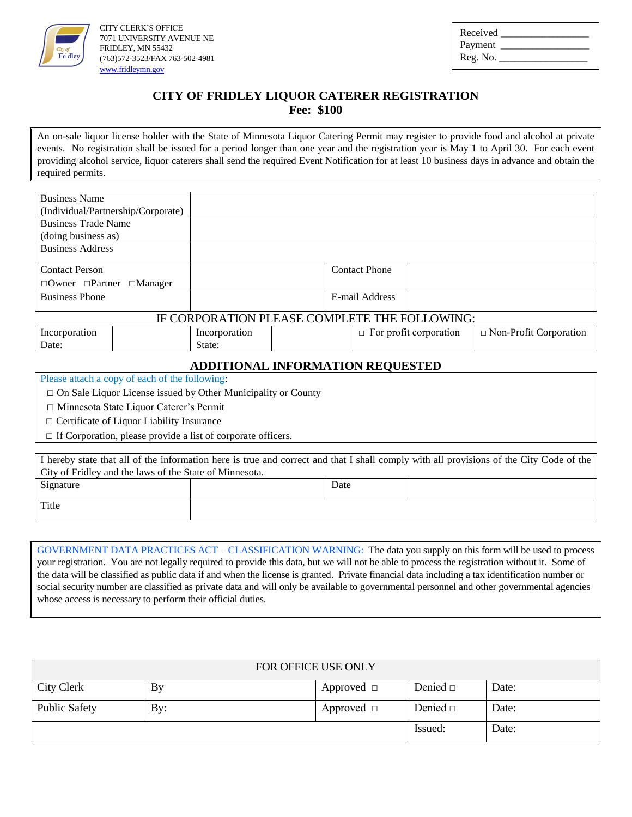

CITY CLERK'S OFFICE 7071 UNIVERSITY AVENUE NE FRIDLEY, MN 55432 (763)572-3523/FAX 763-502-4981 [www.fridleymn.gov](http://www.fridleymn.gov/)

| Received |  |
|----------|--|
| Payment  |  |
| Reg. No. |  |

## **CITY OF FRIDLEY LIQUOR CATERER REGISTRATION**

**Fee: \$100**

An on-sale liquor license holder with the State of Minnesota Liquor Catering Permit may register to provide food and alcohol at private events. No registration shall be issued for a period longer than one year and the registration year is May 1 to April 30. For each event providing alcohol service, liquor caterers shall send the required Event Notification for at least 10 business days in advance and obtain the required permits.

| <b>Business Name</b>                       |                      |
|--------------------------------------------|----------------------|
| (Individual/Partnership/Corporate)         |                      |
| <b>Business Trade Name</b>                 |                      |
| (doing business as)                        |                      |
| <b>Business Address</b>                    |                      |
|                                            |                      |
| <b>Contact Person</b>                      | <b>Contact Phone</b> |
| $\Box$ Owner $\Box$ Partner $\Box$ Manager |                      |
| <b>Business Phone</b>                      | E-mail Address       |
|                                            |                      |

#### IF CORPORATION PLEASE COMPLETE THE FOLLOWING:

| 1nc<br>oration | 11<br><b>Diation</b> | corporation<br>nrotit<br>⊹∩r | Non-Profit<br>corporation |
|----------------|----------------------|------------------------------|---------------------------|
| Date           | State                |                              |                           |
|                |                      |                              |                           |

#### **ADDITIONAL INFORMATION REQUESTED**

Please attach a copy of each of the following:

 $\Box$  On Sale Liquor License issued by Other Municipality or County

□ Minnesota State Liquor Caterer's Permit

□ Certificate of Liquor Liability Insurance

□ If Corporation, please provide a list of corporate officers.

| I hereby state that all of the information here is true and correct and that I shall comply with all provisions of the City Code of the |  |      |  |  |
|-----------------------------------------------------------------------------------------------------------------------------------------|--|------|--|--|
| City of Fridley and the laws of the State of Minnesota.                                                                                 |  |      |  |  |
| Signature                                                                                                                               |  | Date |  |  |
|                                                                                                                                         |  |      |  |  |
| Title                                                                                                                                   |  |      |  |  |
|                                                                                                                                         |  |      |  |  |

GOVERNMENT DATA PRACTICES ACT – CLASSIFICATION WARNING: The data you supply on this form will be used to process your registration. You are not legally required to provide this data, but we will not be able to process the registration without it. Some of the data will be classified as public data if and when the license is granted. Private financial data including a tax identification number or social security number are classified as private data and will only be available to governmental personnel and other governmental agencies whose access is necessary to perform their official duties.

| <b>FOR OFFICE USE ONLY</b> |     |                 |               |       |  |
|----------------------------|-----|-----------------|---------------|-------|--|
| City Clerk                 | By  | Approved $\Box$ | Denied $\Box$ | Date: |  |
| <b>Public Safety</b>       | By: | Approved $\Box$ | Denied $\Box$ | Date: |  |
|                            |     |                 | Issued:       | Date: |  |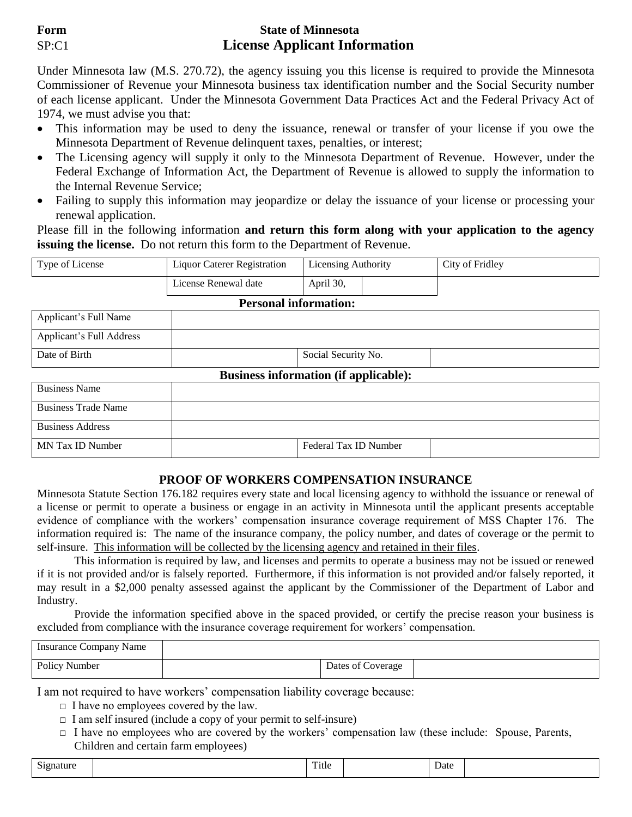### **Form State of Minnesota** SP:C1 **License Applicant Information**

Under Minnesota law (M.S. 270.72), the agency issuing you this license is required to provide the Minnesota Commissioner of Revenue your Minnesota business tax identification number and the Social Security number of each license applicant. Under the Minnesota Government Data Practices Act and the Federal Privacy Act of 1974, we must advise you that:

- This information may be used to deny the issuance, renewal or transfer of your license if you owe the Minnesota Department of Revenue delinquent taxes, penalties, or interest;
- The Licensing agency will supply it only to the Minnesota Department of Revenue. However, under the Federal Exchange of Information Act, the Department of Revenue is allowed to supply the information to the Internal Revenue Service;
- Failing to supply this information may jeopardize or delay the issuance of your license or processing your renewal application.

Please fill in the following information **and return this form along with your application to the agency issuing the license.** Do not return this form to the Department of Revenue.

| Type of License | Liquor Caterer Registration | Licensing Authority | City of Fridley |
|-----------------|-----------------------------|---------------------|-----------------|
|                 | License Renewal date        | April 30,           |                 |

#### **Personal information:**

| Applicant's Full Name    |                     |  |
|--------------------------|---------------------|--|
| Applicant's Full Address |                     |  |
| Date of Birth            | Social Security No. |  |

#### **Business information (if applicable):**

| <b>Business Name</b>       |                       |
|----------------------------|-----------------------|
| <b>Business Trade Name</b> |                       |
| <b>Business Address</b>    |                       |
| MN Tax ID Number           | Federal Tax ID Number |

#### **PROOF OF WORKERS COMPENSATION INSURANCE**

Minnesota Statute Section 176.182 requires every state and local licensing agency to withhold the issuance or renewal of a license or permit to operate a business or engage in an activity in Minnesota until the applicant presents acceptable evidence of compliance with the workers' compensation insurance coverage requirement of MSS Chapter 176. The information required is: The name of the insurance company, the policy number, and dates of coverage or the permit to self-insure. This information will be collected by the licensing agency and retained in their files.

This information is required by law, and licenses and permits to operate a business may not be issued or renewed if it is not provided and/or is falsely reported. Furthermore, if this information is not provided and/or falsely reported, it may result in a \$2,000 penalty assessed against the applicant by the Commissioner of the Department of Labor and Industry.

Provide the information specified above in the spaced provided, or certify the precise reason your business is excluded from compliance with the insurance coverage requirement for workers' compensation.

| Insurance Company Name |                   |  |
|------------------------|-------------------|--|
| Policy Number          | Dates of Coverage |  |

I am not required to have workers' compensation liability coverage because:

- $\Box$  I have no employees covered by the law.
- $\Box$  I am self insured (include a copy of your permit to self-insure)
- $\Box$  I have no employees who are covered by the workers' compensation law (these include: Spouse, Parents, Children and certain farm employees)

| $\sim$<br>Signature | respectively.<br>Title | Date |  |
|---------------------|------------------------|------|--|
|                     |                        |      |  |